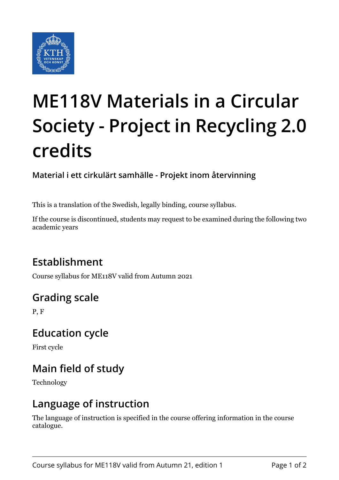

# **ME118V Materials in a Circular Society - Project in Recycling 2.0 credits**

**Material i ett cirkulärt samhälle - Projekt inom återvinning**

This is a translation of the Swedish, legally binding, course syllabus.

If the course is discontinued, students may request to be examined during the following two academic years

# **Establishment**

Course syllabus for ME118V valid from Autumn 2021

# **Grading scale**

P, F

## **Education cycle**

First cycle

# **Main field of study**

Technology

## **Language of instruction**

The language of instruction is specified in the course offering information in the course catalogue.